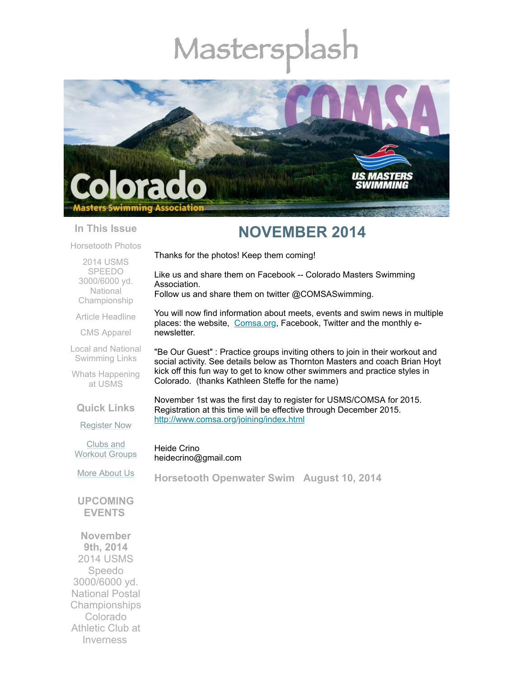# Mastersp



Thanks for the photos! Keep them coming!

#### **In This Issue**

# **NOVEMBER 2014**

You will now find information about meets, events and swim news in multiple places: the website, [Comsa.org,](http://comsa.org/) Facebook, Twitter and the monthly e-

"Be Our Guest" : Practice groups inviting others to join in their workout and social activity. See details below as Thornton Masters and coach Brian Hoyt kick off this fun way to get to know other swimmers and practice styles in

Like us and share them on Facebook -- Colorado Masters Swimming

Follow us and share them on twitter @COMSASwimming.

Colorado. (thanks Kathleen Steffe for the name)

[Horsetooth](#page-0-0) Photos

2014 USMS SPEEDO 3000/6000 yd. National [Championship](#page-2-0)

Article [Headline](#page-4-0)

CMS [Apparel](#page-4-1)

Local and National [Swimming](#page-4-2) Links

Whats [Happening](#page-5-0) at USMS

**Quick Links**

November 1st was the first day to register for USMS/COMSA for 2015. Registration at this time will be effective through December 2015. <http://www.comsa.org/joining/index.html>

[Register](http://comsa.org/joining/index.html) Now

Clubs and [Workout](http://comsa.org/clubs/index.html) Groups

Heide Crino heidecrino@gmail.com

Association.

newsletter.

More [About](http://comsa.org/) Us

<span id="page-0-0"></span>**Horsetooth Openwater Swim August 10, 2014**

**UPCOMING EVENTS** 

**November 9th, 2014** 2014 USMS Speedo 3000/6000 yd. National Postal Championships Colorado Athletic Club at Inverness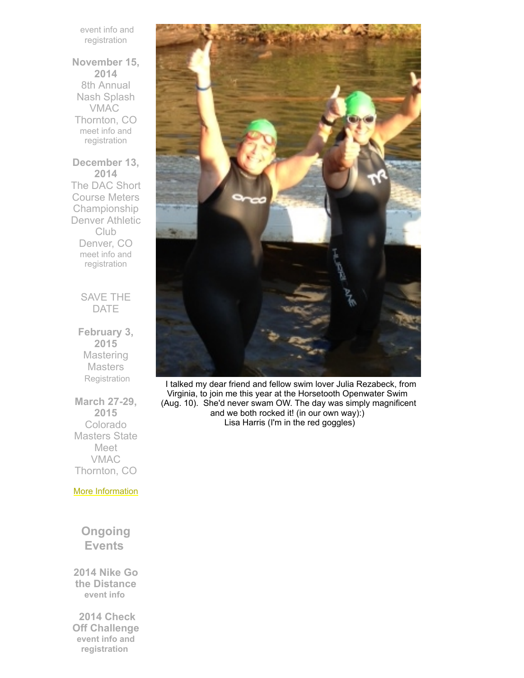event info and [registration](http://www.comsa.org/events/2014%20pool/2014%20USMS%20Speedo%203000.pdf)

**November 15, 2014** 8th Annual Nash Splash VMAC Thornton, CO meet info and [registration](http://www.comsa.org/events/2014%20pool/2014NashSplash.pdf)

**December 13, 2014** The DAC Short Course Meters Championship Denver Athletic **Club** Denver, CO meet info and [registration](http://www.comsa.org/events/2014%20pool/2014DACSCMChampionship.pdf)

> SAVE THE DATE

**February 3, 2015 Mastering Masters [Registration](https://www.clubassistant.com/club/clinics.cfm?c=1279)** 

**March 27-29, 2015** Colorado Masters State Meet VMAC Thornton, CO

More [Information](http://www.comsa.org/)

**Ongoing Events**

**2014 Nike Go the Distance [event](http://www.usms.org/fitness/content/gothedistance) info**

 **2014 Check Off Challenge event info and [registration](http://www.usms.org/fitness/content/checkoff)**



I talked my dear friend and fellow swim lover Julia Rezabeck, from Virginia, to join me this year at the Horsetooth Openwater Swim (Aug. 10). She'd never swam OW. The day was simply magnificent and we both rocked it! (in our own way):) Lisa Harris (I'm in the red goggles)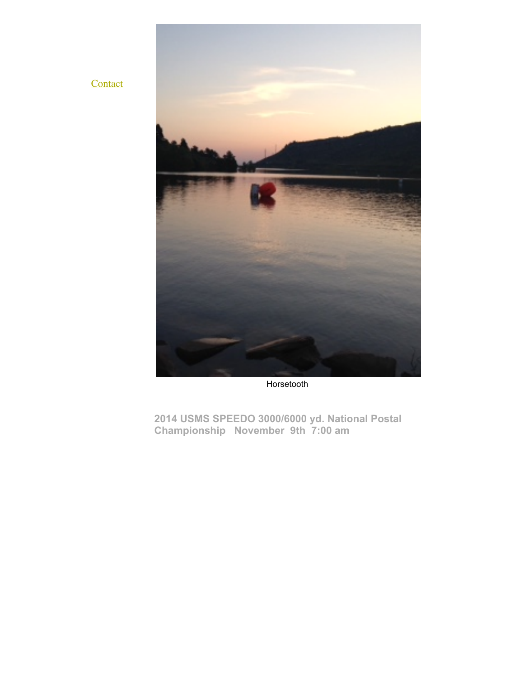



Horsetooth

<span id="page-2-0"></span>**2014 USMS SPEEDO 3000/6000 yd. National Postal Championship November 9th 7:00 am**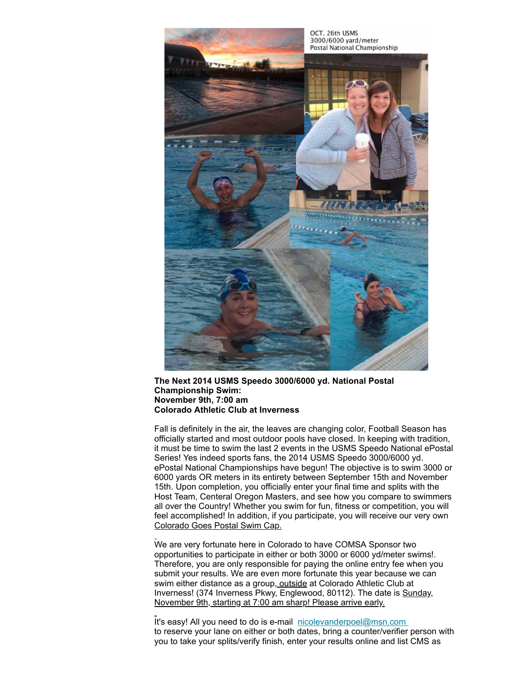

#### **The Next 2014 USMS Speedo 3000/6000 yd. National Postal Championship Swim: November 9th, 7:00 am Colorado Athletic Club at Inverness**

Fall is definitely in the air, the leaves are changing color, Football Season has officially started and most outdoor pools have closed. In keeping with tradition, it must be time to swim the last 2 events in the USMS Speedo National ePostal Series! Yes indeed sports fans, the 2014 USMS Speedo 3000/6000 yd. ePostal National Championships have begun! The objective is to swim 3000 or 6000 yards OR meters in its entirety between September 15th and November 15th. Upon completion, you officially enter your final time and splits with the Host Team, Centeral Oregon Masters, and see how you compare to swimmers all over the Country! Whether you swim for fun, fitness or competition, you will feel accomplished! In addition, if you participate, you will receive our very own Colorado Goes Postal Swim Cap.

We are very fortunate here in Colorado to have COMSA Sponsor two opportunities to participate in either or both 3000 or 6000 yd/meter swims!. Therefore, you are only responsible for paying the online entry fee when you submit your results. We are even more fortunate this year because we can swim either distance as a group, outside at Colorado Athletic Club at Inverness! (374 Inverness Pkwy, Englewood, 80112). The date is Sunday, November 9th, starting at 7:00 am sharp! Please arrive early.

It's easy! All you need to do is e-mail [nicolevanderpoel@msn.com](mailto:nicolevanderpoel@msn.com) to reserve your lane on either or both dates, bring a counter/verifier person with you to take your splits/verify finish, enter your results online and list CMS as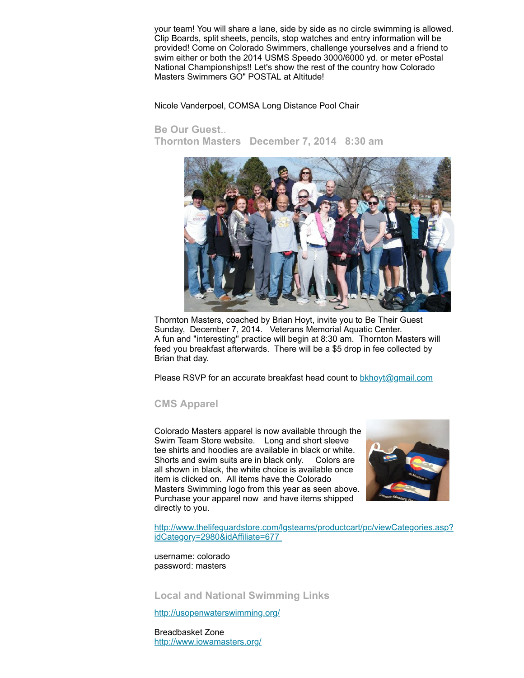your team! You will share a lane, side by side as no circle swimming is allowed. Clip Boards, split sheets, pencils, stop watches and entry information will be provided! Come on Colorado Swimmers, challenge yourselves and a friend to swim either or both the 2014 USMS Speedo 3000/6000 yd. or meter ePostal National Championships!! Let's show the rest of the country how Colorado Masters Swimmers GO" POSTAL at Altitude!

Nicole Vanderpoel, COMSA Long Distance Pool Chair

## <span id="page-4-0"></span>**Be Our Guest**..

**Thornton Masters December 7, 2014 8:30 am** 



Thornton Masters, coached by Brian Hoyt, invite you to Be Their Guest Sunday, December 7, 2014. Veterans Memorial Aquatic Center. A fun and "interesting" practice will begin at 8:30 am. Thornton Masters will feed you breakfast afterwards. There will be a \$5 drop in fee collected by Brian that day.

Please RSVP for an accurate breakfast head count to **[bkhoyt@gmail.com](mailto:bkhoyt@gmail.com)** 

## <span id="page-4-1"></span>**CMS Apparel**

Colorado Masters apparel is now available through the Swim Team Store website. Long and short sleeve tee shirts and hoodies are available in black or white. Shorts and swim suits are in black only. Colors are all shown in black, the white choice is available once item is clicked on. All items have the Colorado Masters Swimming logo from this year as seen above. Purchase your apparel now and have items shipped directly to you.



[http://www.thelifeguardstore.com/lgsteams/productcart/pc/viewCategories.asp?](http://www.thelifeguardstore.com/lgsteams/productcart/pc/viewCategories.asp?idCategory=2980&idAffiliate=677) idCategory=2980&idAffiliate=677

username: colorado password: masters

<span id="page-4-2"></span>**Local and National Swimming Links**

<http://usopenwaterswimming.org/>

Breadbasket Zone <http://www.iowamasters.org/>